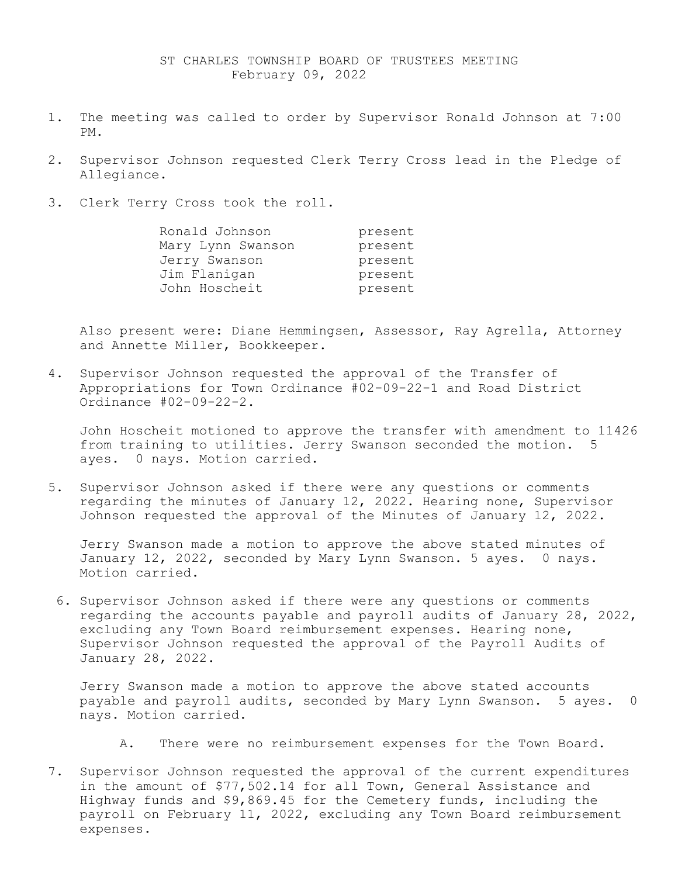- 1. The meeting was called to order by Supervisor Ronald Johnson at 7:00 PM.
- 2. Supervisor Johnson requested Clerk Terry Cross lead in the Pledge of Allegiance.
- 3. Clerk Terry Cross took the roll.

| Ronald Johnson    | present |
|-------------------|---------|
| Mary Lynn Swanson | present |
| Jerry Swanson     | present |
| Jim Flanigan      | present |
| John Hoscheit     | present |

Also present were: Diane Hemmingsen, Assessor, Ray Agrella, Attorney and Annette Miller, Bookkeeper.

4. Supervisor Johnson requested the approval of the Transfer of Appropriations for Town Ordinance #02-09-22-1 and Road District Ordinance #02-09-22-2.

John Hoscheit motioned to approve the transfer with amendment to 11426 from training to utilities. Jerry Swanson seconded the motion. 5 ayes. 0 nays. Motion carried.

5. Supervisor Johnson asked if there were any questions or comments regarding the minutes of January 12, 2022. Hearing none, Supervisor Johnson requested the approval of the Minutes of January 12, 2022.

Jerry Swanson made a motion to approve the above stated minutes of January 12, 2022, seconded by Mary Lynn Swanson. 5 ayes. 0 nays. Motion carried.

6. Supervisor Johnson asked if there were any questions or comments regarding the accounts payable and payroll audits of January 28, 2022, excluding any Town Board reimbursement expenses. Hearing none, Supervisor Johnson requested the approval of the Payroll Audits of January 28, 2022.

Jerry Swanson made a motion to approve the above stated accounts payable and payroll audits, seconded by Mary Lynn Swanson. 5 ayes. 0 nays. Motion carried.

- A. There were no reimbursement expenses for the Town Board.
- 7. Supervisor Johnson requested the approval of the current expenditures in the amount of \$77,502.14 for all Town, General Assistance and Highway funds and \$9,869.45 for the Cemetery funds, including the payroll on February 11, 2022, excluding any Town Board reimbursement expenses.